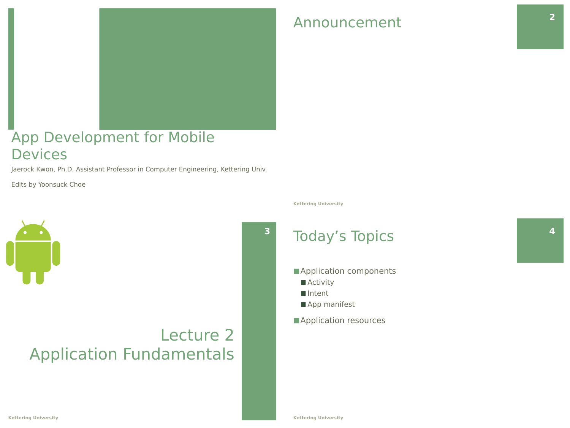

### App Development for Mobile **Devices**

Jaerock Kwon, Ph.D. Assistant Professor in Computer Engineering, Kettering Univ.

Edits by Yoonsuck Choe



### Lecture 2 Application Fundamentals

### Announcement **2**

#### **Kettering University**

### Today's Topics

- Application components
- Activity
- Intent
- App manifest
- Application resources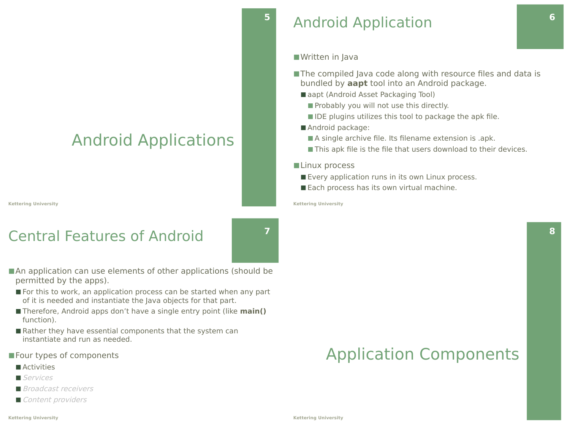### Android Applications

**Kettering University**

### Central Features of Android



**5**

- An application can use elements of other applications (should be permitted by the apps).
	- For this to work, an application process can be started when any part of it is needed and instantiate the Java objects for that part.
	- Therefore, Android apps don't have a single entry point (like **main()** function).
- Rather they have essential components that the system can instantiate and run as needed.
- Four types of components
	- Activities
	- Services
	- Broadcast receivers
	- Content providers

### Android Application

■Written in Java

- The compiled Java code along with resource files and data is bundled by **aapt** tool into an Android package.
	- aapt (Android Asset Packaging Tool)
		- Probably you will not use this directly.
		- IDE plugins utilizes this tool to package the apk file.
	- Android package:
		- A single archive file. Its filename extension is .apk.
		- This apk file is the file that users download to their devices.

#### ■Linux process

- Every application runs in its own Linux process.
- Each process has its own virtual machine.

**Kettering University**

## Application Components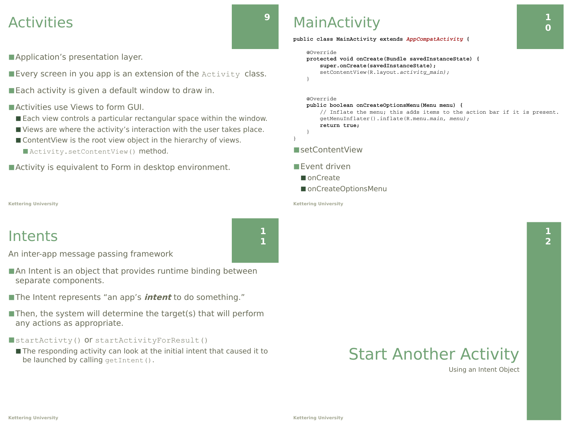### Activities

■ Application's presentation layer.

■ Every screen in you app is an extension of the Activity class.

■ Each activity is given a default window to draw in.

### ■ Activities use Views to form GUI.

- Each view controls a particular rectangular space within the window.
- Views are where the activity's interaction with the user takes place.
- ContentView is the root view object in the hierarchy of views.
	- Activity.setContentView() method.

■ Activity is equivalent to Form in desktop environment.

#### **Kettering University**

### Intents

An inter-app message passing framework

- $\blacksquare$  An Intent is an object that provides runtime binding between separate components.
- ■The Intent represents "an app's *intent* to do something."
- $\blacksquare$  Then, the system will determine the target(s) that will perform any actions as appropriate.

### ■startActivty() Or startActivityForResult()

■ The responding activity can look at the initial intent that caused it to be launched by calling  $q$ etIntent().

### **MainActivity**

**public class MainActivity extends** *AppCompatActivity* **{**

```
    @Override
```

```
    protected void onCreate(Bundle savedInstanceState) {
                super.onCreate(savedInstanceState);
                setContentView(R.layout.activity_main);
    }
```
@Override

#### **public boolean onCreateOptionsMenu(Menu menu) {**

```
        // Inflate the menu; this adds items to the action bar if it is present.
        getMenuInflater().inflate(R.menu.main, menu);
        return true;
```

```
    }
}
```
#### ■setContentView

#### ■Event driven

- onCreate
- onCreateOptionsMenu

#### **Kettering University**

### Start Another Activity

Using an Intent Object



**9**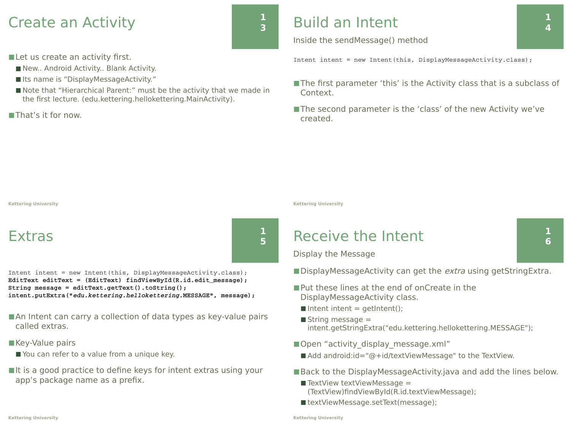### Create an Activity

■ Let us create an activity first.

- New.. Android Activity.. Blank Activity.
- Its name is "DisplayMessageActivity."
- Note that "Hierarchical Parent:" must be the activity that we made in the first lecture. (edu.kettering.hellokettering.MainActivity).

■That's it for now.

### Build an Intent

**1 3**

**1 5** Inside the sendMessage() method

Intent intent = new Intent(this, DisplayMessageActivity.class);

- The first parameter 'this' is the Activity class that is a subclass of Context.
- ■The second parameter is the 'class' of the new Activity we've created.

**Kettering University**

### Extras

Intent intent = new Intent(this, DisplayMessageActivity.class); **EditText editText = (EditText) findViewById(R.id.edit\_message); String message = editText.getText().toString(); intent.putExtra("***edu.kettering.hellokettering***.MESSAGE", message);**

- An Intent can carry a collection of data types as key-value pairs called extras.
- Key-Value pairs
	- You can refer to a value from a unique key.
- $\blacksquare$ It is a good practice to define keys for intent extras using your app's package name as a prefix.

**Kettering University**

### Receive the Intent

Display the Message

■DisplayMessageActivity can get the extra using getStringExtra.

- Put these lines at the end of onCreate in the DisplayMessageActivity class.
	- $\blacksquare$  Intent intent = getIntent();
- $\blacksquare$  String message  $=$ intent.getStringExtra("edu.kettering.hellokettering.MESSAGE");
- Open "activity\_display\_message.xml"
	- Add android:id="@+id/textViewMessage" to the TextView.
- Back to the DisplayMessageActivity.java and add the lines below.
	- $\blacksquare$  TextView textViewMessage = (TextView)findViewById(R.id.textViewMessage);
	- textViewMessage.setText(message);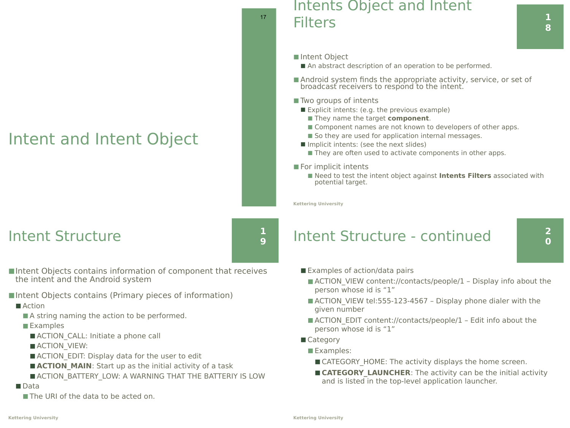### Intent and Intent Object

### Intents Object and Intent **Filters**

■ Intent Object

17

**1 9**

- An abstract description of an operation to be performed.
- Android system finds the appropriate activity, service, or set of broadcast receivers to respond to the intent.
- Two groups of intents
	- Explicit intents: (e.g. the previous example)
		- They name the target **component**.
		- Component names are not known to developers of other apps.
		- So they are used for application internal messages.
	- Implicit intents: (see the next slides)
		- They are often used to activate components in other apps.
- For implicit intents
	- Need to test the intent object against **Intents Filters** associated with potential target.

**Kettering University**

### Intent Structure

■Intent Objects contains information of component that receives the intent and the Android system

- ■Intent Objects contains (Primary pieces of information)
	- Action
		- A string naming the action to be performed.
		- Examples
			- ACTION CALL: Initiate a phone call
			- ACTION\_VIEW:
			- ACTION EDIT: Display data for the user to edit
			- **ACTION MAIN**: Start up as the initial activity of a task
			- ACTION\_BATTERY\_LOW: A WARNING THAT THE BATTERIY IS LOW
	- Data
		- The URI of the data to be acted on.

### Intent Structure - continued

- Examples of action/data pairs
	- ACTION\_VIEW content://contacts/people/1 Display info about the person whose id is "1"
	- ACTION\_VIEW tel:555-123-4567 Display phone dialer with the given number
	- ACTION\_EDIT content://contacts/people/1 Edit info about the person whose id is "1"
- Category
	- Examples:
		- CATEGORY HOME: The activity displays the home screen.
	- CATEGORY LAUNCHER: The activity can be the initial activity and is listed in the top-level application launcher.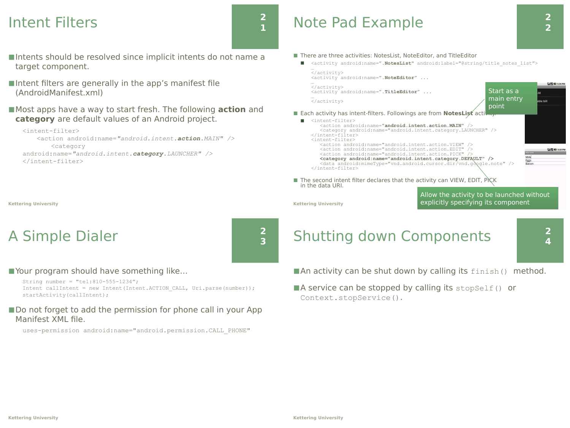### Intent Filters

- ■Intents should be resolved since implicit intents do not name a target component.
- ■Intent filters are generally in the app's manifest file (AndroidManifest.xml)
- Most apps have a way to start fresh. The following **action** and **category** are default values of an Android project.

```
<intent-filter>
   <action android:name="android.intent.action.MAIN" /> 
        <category 
android:name="android.intent.category.LAUNCHER" /> 
</intent-filter>
```
**Kettering University**

### A Simple Dialer



**2 3**

■ Your program should have something like...

String number = "tel:810-555-1234";

Intent callIntent = new Intent(Intent.ACTION CALL, Uri.parse(number)); startActivity(callIntent);

#### ■ Do not forget to add the permission for phone call in your App Manifest XML file.

uses-permission android:name="android.permission.CALL\_PHONE"

### Note Pad Example

- There are three activities: NotesList, NoteEditor, and TitleEditor
- ◼ <activity android:name=".**NotesList**" android:label="@string/title\_notes\_list">



Allow the activity to be launched without explicitly specifying its component

**Kettering University**

### Shutting down Components

**2 4**

 $\blacksquare$  An activity can be shut down by calling its  $f \mid \text{min}$  () method.

 $\blacksquare$  A service can be stopped by calling its stopSelf() or Context.stopService().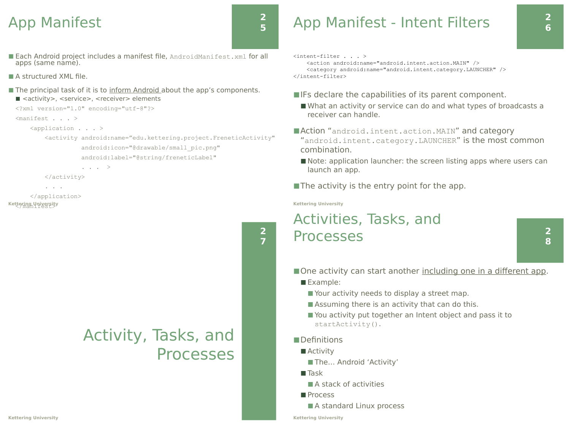### App Manifest

### **2 5**

**2 7**

- Each Android project includes a manifest file, AndroidManifest.xml for all apps (same name).
- A structured XML file.
- The principal task of it is to inform Android about the app's components. ■ <activity>, <service>, <receiver> elements

```
<?xml version="1.0" encoding="utf-8"?>
```

```
<manifest . . . >
```

```
 <application . . . >
```
 <activity android:name="edu.kettering.project.FreneticActivity" android:icon="@drawable/small\_pic.png" android:label="@string/freneticLabel"

. . . >

</activity>

```
 </application>
Kettering University
```
. . .

### Activity, Tasks, and Processes

### App Manifest - Intent Filters

```
<intent-filter . . . >
```
 <action android:name="android.intent.action.MAIN" /> <category android:name="android.intent.category.LAUNCHER" />  $\langle$ intent-filter>

- ■IFs declare the capabilities of its parent component.
	- What an activity or service can do and what types of broadcasts a receiver can handle.
- Action "android.intent.action.MAIN" and category "android.intent.category.LAUNCHER" is the most common combination.
- Note: application launcher: the screen listing apps where users can launch an app.
- $\blacksquare$  The activity is the entry point for the app.

**Kettering University**

### Activities, Tasks, and Processes

**2 8**

■ One activity can start another including one in a different app.

- Example:
	- Your activity needs to display a street map.
	- Assuming there is an activity that can do this.
	- You activity put together an Intent object and pass it to startActivity().

#### ■Definitions

- Activity
	- The... Android 'Activity'
- Task
	- $\blacksquare$  A stack of activities
- Process
- A standard Linux process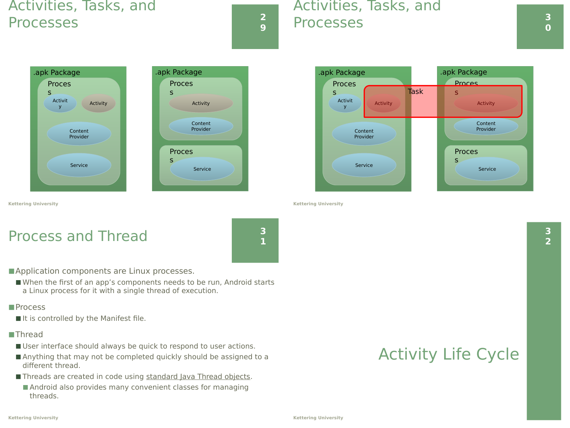### Activities, Tasks, and Processes **<sup>2</sup>**

**9**

### Activities, Tasks, and Processes **<sup>3</sup>**





Activit ctivit **Activity** Content Provider Service Proces s .apk Package Activity Content Provider **Proces** s .apk Package Proces s Service Task

**Kettering University**

**Kettering University**

### Process and Thread



■ Application components are Linux processes.

■ When the first of an app's components needs to be run, Android starts a Linux process for it with a single thread of execution.

#### ■Process

■ It is controlled by the Manifest file.

#### ■Thread

- User interface should always be quick to respond to user actions.
- Anything that may not be completed quickly should be assigned to a different thread.
- Threads are created in code using standard Java Thread objects.
	- Android also provides many convenient classes for managing threads.

### Activity Life Cycle

**Kettering University**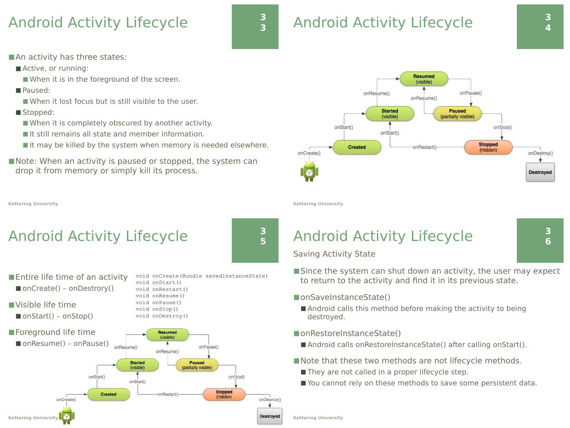### Android Activity Lifecycle



### Android Activity Lifecycle **<sup>3</sup>**

**3 6**

■ An activity has three states:

- Active, or running:
	- When it is in the foreground of the screen.
- Paused:
	- When it lost focus but is still visible to the user.
- Stopped:
	- When it is completely obscured by another activity.
	- It still remains all state and member information.
	- It may be killed by the system when memory is needed elsewhere.
- Note: When an activity is paused or stopped, the system can drop it from memory or simply kill its process.

**Kettering University**

### Android Activity Lifecycle

onStart()

Created

onStart()

**3 5**

onDestrov()

**Destroved** 

- $\blacksquare$  Entire life time of an activity ■ onCreate() - onDestrory()
- ■Visible life time

**Kettering University**

- $\blacksquare$  onStart() onStop()
- ■Foreground life time  $\blacksquare$  onResume() – onPause() <sub>onResume()</sub>

onCreate()

void onStart() void onRestart() void onResume() void onPause() void onStop()

void onCreate(Bundle savedInstanceState)

**Stopped** 

(hidden)

void onDestroy() **Resumed** (visible) onPause() onResume() **Started Paused** (visible) (partially visible) onStop()

onRestart()



**Kettering University**

### Android Activity Lifecycle

Saving Activity State

- Since the system can shut down an activity, the user may expect to return to the activity and find it in its previous state.
- onSaveInstanceState()
	- Android calls this method before making the activity to being destroyed.
- onRestoreInstanceState()
	- Android calls onRestoreInstanceState() after calling onStart().
- Note that these two methods are not lifecycle methods.
	- They are not called in a proper lifecycle step.
	- You cannot rely on these methods to save some persistent data.

**Kettering University**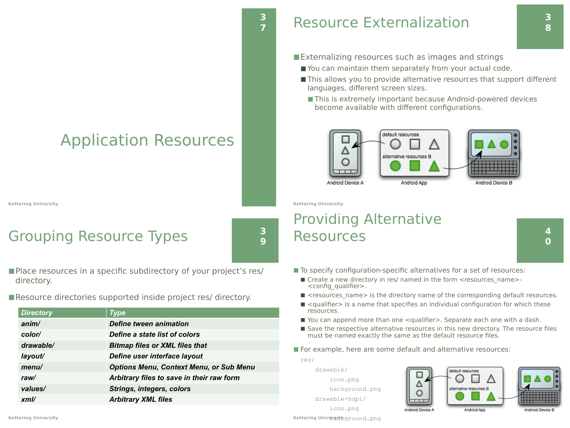## Application Resources

**Kettering University**

### Grouping Resource Types

**3 9**

**3**

- Place resources in a specific subdirectory of your project's res/ directory.
- Resource directories supported inside project res/ directory.

| anim/     | Define tween animation                         |
|-----------|------------------------------------------------|
| color/    | Define a state list of colors                  |
| drawable/ | <b>Bitmap files or XML files that</b>          |
| layout/   | Define user interface layout                   |
| menu/     | <b>Options Menu, Context Menu, or Sub Menu</b> |
| raw/      | Arbitrary files to save in their raw form      |
| values/   | <b>Strings, integers, colors</b>               |
| xml/      | <b>Arbitrary XML files</b>                     |
|           |                                                |

■Externalizing resources such as images and strings

- You can maintain them separately from your actual code.
- This allows you to provide alternative resources that support different languages, different screen sizes.
	- This is extremely important because Android-powered devices become available with different configurations.



**Kettering University**

### Providing Alternative Resources

**4 0**

**3 8**

- To specify configuration-specific alternatives for a set of resources:
	- Create a new directory in res/ named in the form <resources\_name>-<config\_qualifier>.
	- <resources\_name> is the directory name of the corresponding default resources.
- <qualifier> is a name that specifies an individual configuration for which these resources.
- You can append more than one <qualifier>. Separate each one with a dash.
- Save the respective alternative resources in this new directory. The resource files must be named exactly the same as the default resource files.

■ For example, here are some default and alternative resources:

res/

 drawable/ icon.png background.png drawable-hdpi/ icon.png **Kettering Universit\k**ground.png



*<i>Directory*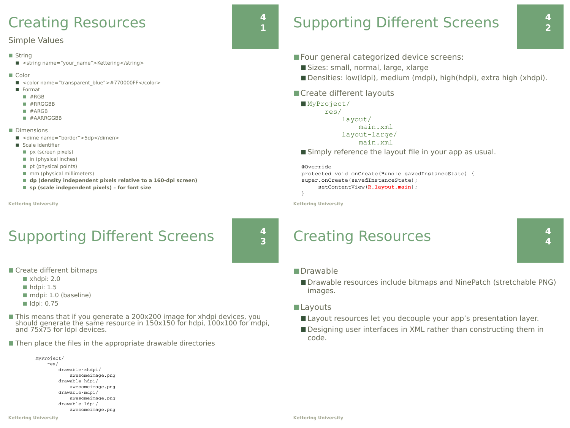### Creating Resources

#### Simple Values

- String
	- <string name="your\_name">Kettering</string>
- Color
	- <color name="transparent\_blue">#770000FF</color>
	- Format
		- $#RGB$
		- #RRGGBB
		- #ARGB
		- #AARRGGBB
- Dimensions
	- <dime name="border">5dp</dimen>
	- Scale identifier
		- px (screen pixels)
		- $\blacksquare$  in (physical inches)
		- $\blacksquare$  pt (physical points)
		- mm (physical millimeters)
		- dp (density independent pixels relative to a 160-dpi screen)
		- sp (scale independent pixels) for font size
- **Kettering University**

### Supporting Different Screens

**4 3**

**4 1**

- Create different bitmaps
	- $\blacksquare$  xhdpi: 2.0
	- $\blacksquare$  hdpi: 1.5
	- mdpi: 1.0 (baseline)
	- $\blacksquare$  Idpi: 0.75

MyP

- This means that if you generate a 200x200 image for xhdpi devices, you should generate the same resource in 150x150 for hdpi, 100x100 for mdpi, and 75x75 for ldpi devices.
- Then place the files in the appropriate drawable directories

| MyProject/       |
|------------------|
| res/             |
| drawable-xhdpi/  |
| awesomeimage.png |
| drawable-hdpi/   |
| awesomeimage.png |
| drawable-mdpi/   |
| awesomeimage.png |
| drawable-ldpi/   |
| awesomeimage.png |
|                  |

# Supporting Different Screens

**4 2**

- Four general categorized device screens:
	- Sizes: small, normal, large, xlarge
	- Densities: low(ldpi), medium (mdpi), high(hdpi), extra high (xhdpi).
- Create different layouts

■ MyProject/ res/ layout/ main.xml layout-large/ main.xml

■ Simply reference the layout file in your app as usual.

```
@Override 
protected void onCreate(Bundle savedInstanceState) {       
super.onCreate(savedInstanceState);
          setContentView(R.layout.main);
```

```
}
```
**Kettering University**

### Creating Resources

■ Drawable resources include bitmaps and NinePatch (stretchable PNG) images.

#### ■Layouts

■Drawable

- Layout resources let you decouple your app's presentation layer.
- Designing user interfaces in XML rather than constructing them in code.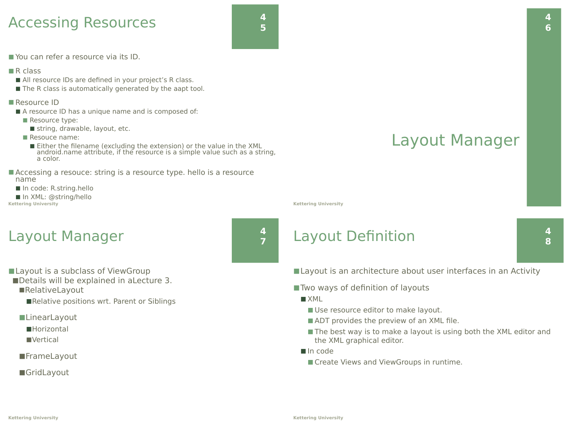### Accessing Resources



■ You can refer a resource via its ID.

- $R$  class
	- All resource IDs are defined in your project's R class.
	- The R class is automatically generated by the aapt tool.
- Resource ID
	- A resource ID has a unique name and is composed of:
		- Resource type:
			- string, drawable, layout, etc.
		- Resouce name:
			- Either the filename (excluding the extension) or the value in the XML<br>android.name attribute, if the resource is a simple value such as a string, a color.
- Accessing a resouce: string is a resource type. hello is a resource name
- In code: R.string.hello

```
■ In XML: @string/hello
Kettering University
```
### Layout Manager



- Layout is a subclass of ViewGroup
- ■Details will be explained in aLecture 3. ■RelativeLayout
	- ■Relative positions wrt. Parent or Siblings
	- ■LinearLayout
		- ■Horizontal
		- ■Vertical
	- ■FrameLayout
	- ■GridLayout

### Layout Manager

**Kettering University**

### Layout Definition

■ Layout is an architecture about user interfaces in an Activity

- Two ways of definition of layouts
	- $\blacksquare$  XML
		- Use resource editor to make layout.
		- ADT provides the preview of an XML file.
		- The best way is to make a layout is using both the XML editor and the XML graphical editor.
	- In code
		- Create Views and ViewGroups in runtime.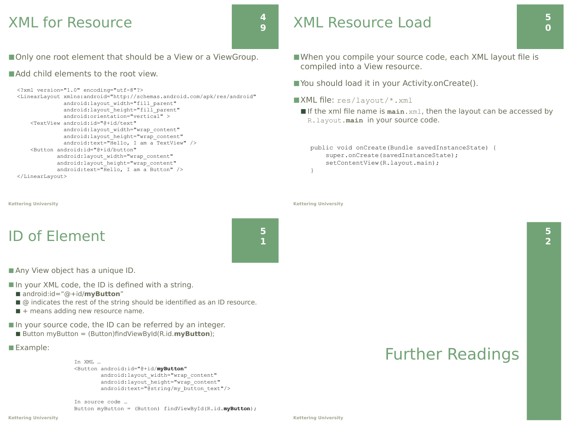### XML for Resource

**4 9**

■ Only one root element that should be a View or a ViewGroup.

#### ■ Add child elements to the root view.

```
<?xml version="1.0" encoding="utf-8"?>
<LinearLayout xmlns:android="http://schemas.android.com/apk/res/android"
               android:layout_width="fill_parent" 
              android: layout height="fill parent"
               android:orientation="vertical" >
     <TextView android:id="@+id/text"
              android: layout width="wrap_content"
              android: layout height="wrap_content"
               android:text="Hello, I am a TextView" />
     <Button android:id="@+id/button"
            android: layout width="wrap_content"
            android: layout height="wrap_content"
             android:text="Hello, I am a Button" />
</LinearLayout>
```

```
Kettering University
```
### ID of Element

■ Any View object has a unique ID.

 $\blacksquare$  In your XML code, the ID is defined with a string.

- android:id="@+id/**myButton**"
- @ indicates the rest of the string should be identified as an ID resource.
- $\blacksquare$  + means adding new resource name.

■ In your source code, the ID can be referred by an integer.

■ Button myButton = (Button)findViewById(R.id.myButton);

#### ■ Example:

In XML … <Button android:id="@+id/**myButton**" android: layout width="wrap\_content" android: layout height="wrap\_content" android:text="@string/my\_button\_text"/>

In source code … Button myButton = (Button) findViewById(R.id.**myButton**);

### XML Resource Load

- When you compile your source code, each XML layout file is compiled into a View resource.
- You should load it in your Activity.onCreate().
- $\blacksquare$ XML file: res/layout/\*.xml
	- If the xml file name is main.xml, then the layout can be accessed by R.layout.**main** in your source code.

public void onCreate(Bundle savedInstanceState) { super.onCreate(savedInstanceState); setContentView(R.layout.main); }

**Kettering University**

### Further Readings

**5**